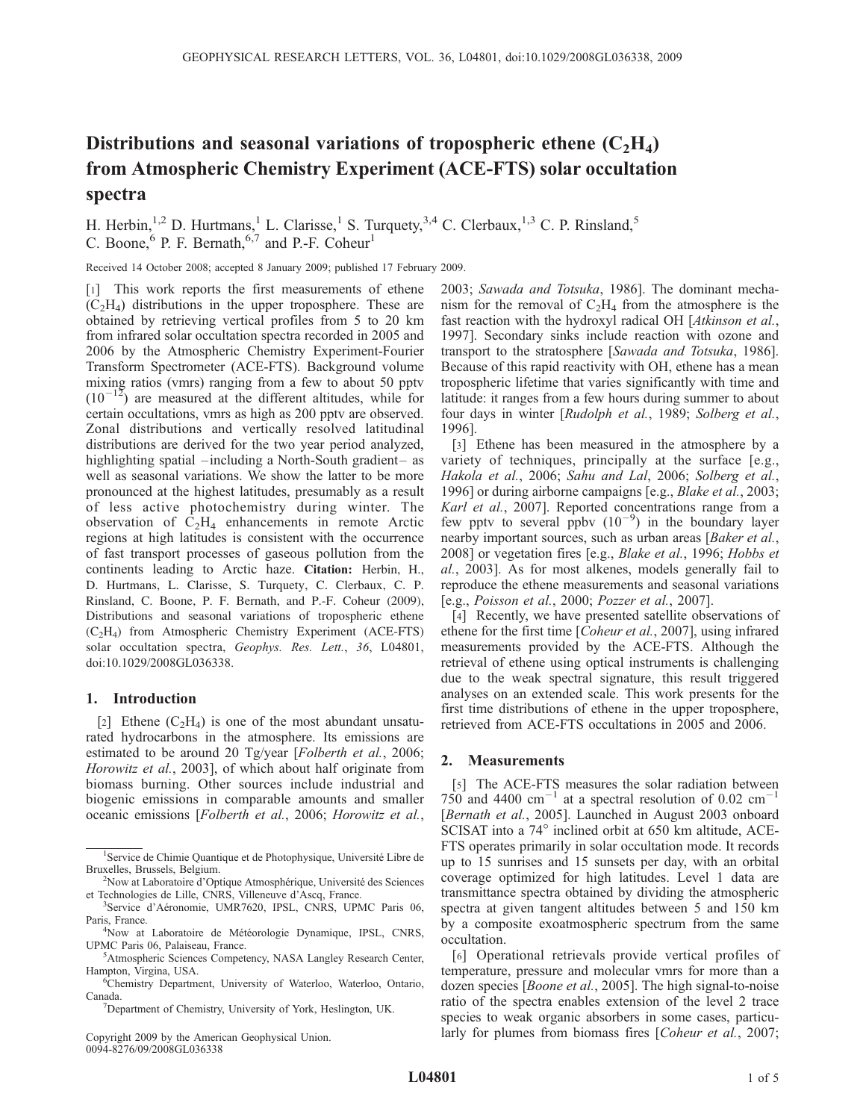# Distributions and seasonal variations of tropospheric ethene  $(C_2H_4)$ from Atmospheric Chemistry Experiment (ACE-FTS) solar occultation spectra

H. Herbin,<sup>1,2</sup> D. Hurtmans,<sup>1</sup> L. Clarisse,<sup>1</sup> S. Turquety,<sup>3,4</sup> C. Clerbaux,<sup>1,3</sup> C. P. Rinsland,<sup>5</sup> C. Boone,  $6$  P. F. Bernath,  $6.7$  and P.-F. Coheur<sup>1</sup>

Received 14 October 2008; accepted 8 January 2009; published 17 February 2009.

[1] This work reports the first measurements of ethene  $(C<sub>2</sub>H<sub>4</sub>)$  distributions in the upper troposphere. These are obtained by retrieving vertical profiles from 5 to 20 km from infrared solar occultation spectra recorded in 2005 and 2006 by the Atmospheric Chemistry Experiment-Fourier Transform Spectrometer (ACE-FTS). Background volume mixing ratios (vmrs) ranging from a few to about 50 pptv  $(10^{-12})$  are measured at the different altitudes, while for certain occultations, vmrs as high as 200 pptv are observed. Zonal distributions and vertically resolved latitudinal distributions are derived for the two year period analyzed, highlighting spatial –including a North-South gradient– as well as seasonal variations. We show the latter to be more pronounced at the highest latitudes, presumably as a result of less active photochemistry during winter. The observation of  $C_2H_4$  enhancements in remote Arctic regions at high latitudes is consistent with the occurrence of fast transport processes of gaseous pollution from the continents leading to Arctic haze. Citation: Herbin, H., D. Hurtmans, L. Clarisse, S. Turquety, C. Clerbaux, C. P. Rinsland, C. Boone, P. F. Bernath, and P.-F. Coheur (2009), Distributions and seasonal variations of tropospheric ethene (C2H4) from Atmospheric Chemistry Experiment (ACE-FTS) solar occultation spectra, Geophys. Res. Lett., 36, L04801, doi:10.1029/2008GL036338.

## 1. Introduction

[2] Ethene  $(C_2H_4)$  is one of the most abundant unsaturated hydrocarbons in the atmosphere. Its emissions are estimated to be around 20 Tg/year [Folberth et al., 2006; Horowitz et al., 2003], of which about half originate from biomass burning. Other sources include industrial and biogenic emissions in comparable amounts and smaller oceanic emissions [Folberth et al., 2006; Horowitz et al.,

Copyright 2009 by the American Geophysical Union. 0094-8276/09/2008GL036338

2003; Sawada and Totsuka, 1986]. The dominant mechanism for the removal of  $C_2H_4$  from the atmosphere is the fast reaction with the hydroxyl radical OH [Atkinson et al., 1997]. Secondary sinks include reaction with ozone and transport to the stratosphere [Sawada and Totsuka, 1986]. Because of this rapid reactivity with OH, ethene has a mean tropospheric lifetime that varies significantly with time and latitude: it ranges from a few hours during summer to about four days in winter [Rudolph et al., 1989; Solberg et al., 1996].

[3] Ethene has been measured in the atmosphere by a variety of techniques, principally at the surface [e.g., Hakola et al., 2006; Sahu and Lal, 2006; Solberg et al., 1996] or during airborne campaigns [e.g., Blake et al., 2003; Karl et al., 2007]. Reported concentrations range from a few pptv to several ppbv  $(10^{-9})$  in the boundary layer nearby important sources, such as urban areas [Baker et al., 2008] or vegetation fires [e.g., Blake et al., 1996; Hobbs et al., 2003]. As for most alkenes, models generally fail to reproduce the ethene measurements and seasonal variations [e.g., Poisson et al., 2000; Pozzer et al., 2007].

[4] Recently, we have presented satellite observations of ethene for the first time [Coheur et al., 2007], using infrared measurements provided by the ACE-FTS. Although the retrieval of ethene using optical instruments is challenging due to the weak spectral signature, this result triggered analyses on an extended scale. This work presents for the first time distributions of ethene in the upper troposphere, retrieved from ACE-FTS occultations in 2005 and 2006.

## 2. Measurements

[5] The ACE-FTS measures the solar radiation between 750 and 4400  $\text{cm}^{-1}$  at a spectral resolution of 0.02  $\text{cm}^{-1}$ [Bernath et al., 2005]. Launched in August 2003 onboard SCISAT into a 74° inclined orbit at 650 km altitude, ACE-FTS operates primarily in solar occultation mode. It records up to 15 sunrises and 15 sunsets per day, with an orbital coverage optimized for high latitudes. Level 1 data are transmittance spectra obtained by dividing the atmospheric spectra at given tangent altitudes between 5 and 150 km by a composite exoatmospheric spectrum from the same occultation.

[6] Operational retrievals provide vertical profiles of temperature, pressure and molecular vmrs for more than a dozen species [Boone et al., 2005]. The high signal-to-noise ratio of the spectra enables extension of the level 2 trace species to weak organic absorbers in some cases, particularly for plumes from biomass fires [Coheur et al., 2007;

<sup>&</sup>lt;sup>1</sup>Service de Chimie Quantique et de Photophysique, Université Libre de Bruxelles, Brussels, Belgium. <sup>2</sup>

<sup>&</sup>lt;sup>2</sup>Now at Laboratoire d'Optique Atmosphérique, Université des Sciences et Technologies de Lille, CNRS, Villeneuve d'Ascq, France.

<sup>&</sup>lt;sup>3</sup>Service d'Aéronomie, UMR7620, IPSL, CNRS, UPMC Paris 06, Paris, France.

<sup>&</sup>lt;sup>4</sup>Now at Laboratoire de Météorologie Dynamique, IPSL, CNRS, UPMC Paris 06, Palaiseau, France.

<sup>&</sup>lt;sup>5</sup>Atmospheric Sciences Competency, NASA Langley Research Center, Hampton, Virgina, USA. <sup>6</sup>

<sup>&</sup>lt;sup>6</sup>Chemistry Department, University of Waterloo, Waterloo, Ontario, Canada.

Department of Chemistry, University of York, Heslington, UK.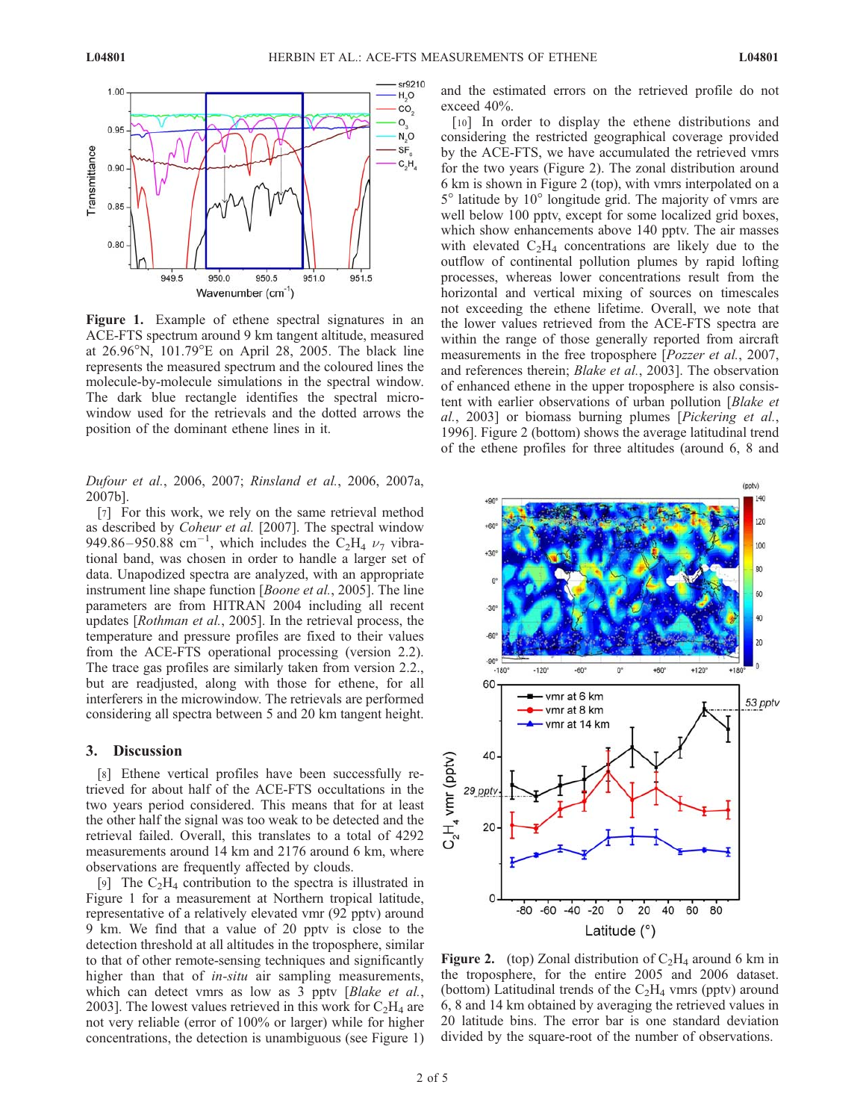

Figure 1. Example of ethene spectral signatures in an ACE-FTS spectrum around 9 km tangent altitude, measured at  $26.96^{\circ}$ N,  $101.79^{\circ}$ E on April 28, 2005. The black line represents the measured spectrum and the coloured lines the molecule-by-molecule simulations in the spectral window. The dark blue rectangle identifies the spectral microwindow used for the retrievals and the dotted arrows the position of the dominant ethene lines in it.

Dufour et al., 2006, 2007; Rinsland et al., 2006, 2007a, 2007b].

[7] For this work, we rely on the same retrieval method as described by *Coheur et al.* [2007]. The spectral window 949.86–950.88 cm<sup>-1</sup>, which includes the  $C_2H_4$   $\nu_7$  vibrational band, was chosen in order to handle a larger set of data. Unapodized spectra are analyzed, with an appropriate instrument line shape function [Boone et al., 2005]. The line parameters are from HITRAN 2004 including all recent updates [Rothman et al., 2005]. In the retrieval process, the temperature and pressure profiles are fixed to their values from the ACE-FTS operational processing (version 2.2). The trace gas profiles are similarly taken from version 2.2., but are readjusted, along with those for ethene, for all interferers in the microwindow. The retrievals are performed considering all spectra between 5 and 20 km tangent height.

#### 3. Discussion

[8] Ethene vertical profiles have been successfully retrieved for about half of the ACE-FTS occultations in the two years period considered. This means that for at least the other half the signal was too weak to be detected and the retrieval failed. Overall, this translates to a total of 4292 measurements around 14 km and 2176 around 6 km, where observations are frequently affected by clouds.

[9] The  $C_2H_4$  contribution to the spectra is illustrated in Figure 1 for a measurement at Northern tropical latitude, representative of a relatively elevated vmr (92 pptv) around 9 km. We find that a value of 20 pptv is close to the detection threshold at all altitudes in the troposphere, similar to that of other remote-sensing techniques and significantly higher than that of *in-situ* air sampling measurements, which can detect vmrs as low as 3 pptv [Blake et al., 2003]. The lowest values retrieved in this work for  $C_2H_4$  are not very reliable (error of 100% or larger) while for higher concentrations, the detection is unambiguous (see Figure 1)

and the estimated errors on the retrieved profile do not exceed 40%.

[10] In order to display the ethene distributions and considering the restricted geographical coverage provided by the ACE-FTS, we have accumulated the retrieved vmrs for the two years (Figure 2). The zonal distribution around 6 km is shown in Figure 2 (top), with vmrs interpolated on a  $5^{\circ}$  latitude by  $10^{\circ}$  longitude grid. The majority of vmrs are well below 100 pptv, except for some localized grid boxes, which show enhancements above 140 pptv. The air masses with elevated  $C_2H_4$  concentrations are likely due to the outflow of continental pollution plumes by rapid lofting processes, whereas lower concentrations result from the horizontal and vertical mixing of sources on timescales not exceeding the ethene lifetime. Overall, we note that the lower values retrieved from the ACE-FTS spectra are within the range of those generally reported from aircraft measurements in the free troposphere [Pozzer et al., 2007, and references therein; Blake et al., 2003]. The observation of enhanced ethene in the upper troposphere is also consistent with earlier observations of urban pollution [Blake et al., 2003] or biomass burning plumes [Pickering et al., 1996]. Figure 2 (bottom) shows the average latitudinal trend of the ethene profiles for three altitudes (around 6, 8 and



**Figure 2.** (top) Zonal distribution of  $C_2H_4$  around 6 km in the troposphere, for the entire 2005 and 2006 dataset. (bottom) Latitudinal trends of the  $C_2H_4$  vmrs (pptv) around 6, 8 and 14 km obtained by averaging the retrieved values in 20 latitude bins. The error bar is one standard deviation divided by the square-root of the number of observations.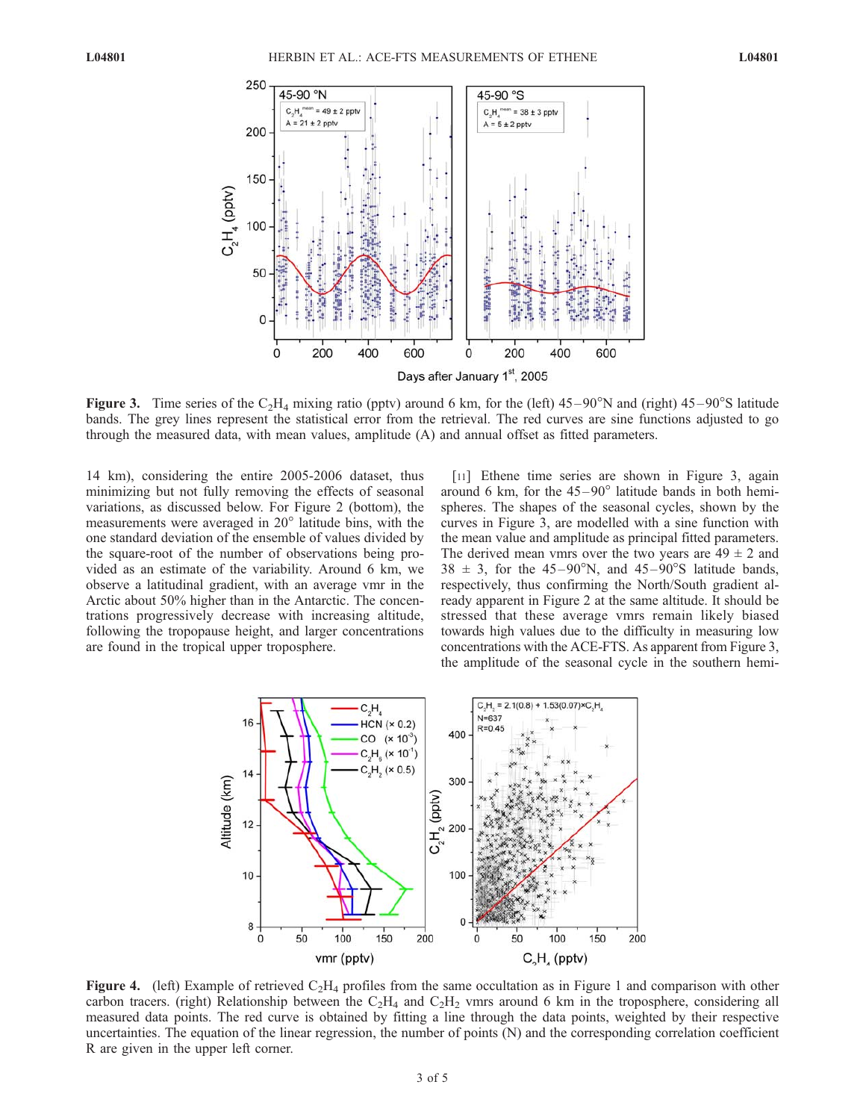

Figure 3. Time series of the  $C_2H_4$  mixing ratio (pptv) around 6 km, for the (left) 45–90°N and (right) 45–90°S latitude bands. The grey lines represent the statistical error from the retrieval. The red curves are sine functions adjusted to go through the measured data, with mean values, amplitude (A) and annual offset as fitted parameters.

14 km), considering the entire 2005-2006 dataset, thus minimizing but not fully removing the effects of seasonal variations, as discussed below. For Figure 2 (bottom), the measurements were averaged in  $20^{\circ}$  latitude bins, with the one standard deviation of the ensemble of values divided by the square-root of the number of observations being provided as an estimate of the variability. Around 6 km, we observe a latitudinal gradient, with an average vmr in the Arctic about 50% higher than in the Antarctic. The concentrations progressively decrease with increasing altitude, following the tropopause height, and larger concentrations are found in the tropical upper troposphere.

[11] Ethene time series are shown in Figure 3, again around 6 km, for the  $45-90^\circ$  latitude bands in both hemispheres. The shapes of the seasonal cycles, shown by the curves in Figure 3, are modelled with a sine function with the mean value and amplitude as principal fitted parameters. The derived mean vmrs over the two years are  $49 \pm 2$  and  $38 \pm 3$ , for the 45-90°N, and 45-90°S latitude bands, respectively, thus confirming the North/South gradient already apparent in Figure 2 at the same altitude. It should be stressed that these average vmrs remain likely biased towards high values due to the difficulty in measuring low concentrations with the ACE-FTS. As apparent from Figure 3, the amplitude of the seasonal cycle in the southern hemi-



**Figure 4.** (left) Example of retrieved  $C_2H_4$  profiles from the same occultation as in Figure 1 and comparison with other carbon tracers. (right) Relationship between the  $C_2H_4$  and  $C_2H_2$  vmrs around 6 km in the troposphere, considering all measured data points. The red curve is obtained by fitting a line through the data points, weighted by their respective uncertainties. The equation of the linear regression, the number of points (N) and the corresponding correlation coefficient R are given in the upper left corner.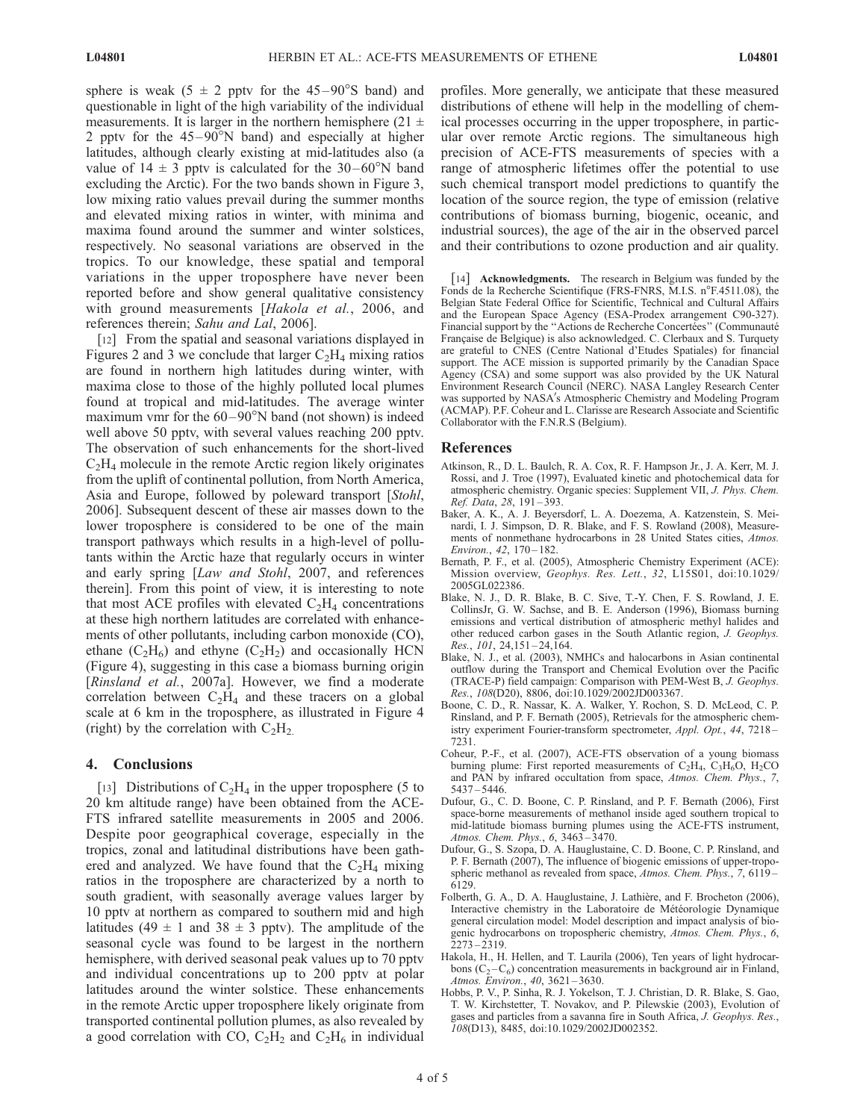sphere is weak (5  $\pm$  2 pptv for the 45–90°S band) and questionable in light of the high variability of the individual measurements. It is larger in the northern hemisphere (21  $\pm$ 2 pptv for the  $45-90^{\circ}$ N band) and especially at higher latitudes, although clearly existing at mid-latitudes also (a value of  $14 \pm 3$  pptv is calculated for the  $30-60^{\circ}$ N band excluding the Arctic). For the two bands shown in Figure 3, low mixing ratio values prevail during the summer months and elevated mixing ratios in winter, with minima and maxima found around the summer and winter solstices, respectively. No seasonal variations are observed in the tropics. To our knowledge, these spatial and temporal variations in the upper troposphere have never been reported before and show general qualitative consistency with ground measurements [Hakola et al., 2006, and references therein; Sahu and Lal, 2006].

[12] From the spatial and seasonal variations displayed in Figures 2 and 3 we conclude that larger  $C_2H_4$  mixing ratios are found in northern high latitudes during winter, with maxima close to those of the highly polluted local plumes found at tropical and mid-latitudes. The average winter maximum vmr for the  $60 - 90^{\circ}$ N band (not shown) is indeed well above 50 pptv, with several values reaching 200 pptv. The observation of such enhancements for the short-lived  $C<sub>2</sub>H<sub>4</sub>$  molecule in the remote Arctic region likely originates from the uplift of continental pollution, from North America, Asia and Europe, followed by poleward transport [Stohl, 2006]. Subsequent descent of these air masses down to the lower troposphere is considered to be one of the main transport pathways which results in a high-level of pollutants within the Arctic haze that regularly occurs in winter and early spring [Law and Stohl, 2007, and references therein]. From this point of view, it is interesting to note that most ACE profiles with elevated  $C_2H_4$  concentrations at these high northern latitudes are correlated with enhancements of other pollutants, including carbon monoxide (CO), ethane  $(C_2H_6)$  and ethyne  $(C_2H_2)$  and occasionally HCN (Figure 4), suggesting in this case a biomass burning origin [Rinsland et al., 2007a]. However, we find a moderate correlation between  $C_2H_4$  and these tracers on a global scale at 6 km in the troposphere, as illustrated in Figure 4 (right) by the correlation with  $C_2H_2$ .

### 4. Conclusions

[13] Distributions of  $C_2H_4$  in the upper troposphere (5 to 20 km altitude range) have been obtained from the ACE-FTS infrared satellite measurements in 2005 and 2006. Despite poor geographical coverage, especially in the tropics, zonal and latitudinal distributions have been gathered and analyzed. We have found that the  $C_2H_4$  mixing ratios in the troposphere are characterized by a north to south gradient, with seasonally average values larger by 10 pptv at northern as compared to southern mid and high latitudes (49  $\pm$  1 and 38  $\pm$  3 pptv). The amplitude of the seasonal cycle was found to be largest in the northern hemisphere, with derived seasonal peak values up to 70 pptv and individual concentrations up to 200 pptv at polar latitudes around the winter solstice. These enhancements in the remote Arctic upper troposphere likely originate from transported continental pollution plumes, as also revealed by a good correlation with CO,  $C_2H_2$  and  $C_2H_6$  in individual

profiles. More generally, we anticipate that these measured distributions of ethene will help in the modelling of chemical processes occurring in the upper troposphere, in particular over remote Arctic regions. The simultaneous high precision of ACE-FTS measurements of species with a range of atmospheric lifetimes offer the potential to use such chemical transport model predictions to quantify the location of the source region, the type of emission (relative contributions of biomass burning, biogenic, oceanic, and industrial sources), the age of the air in the observed parcel and their contributions to ozone production and air quality.

[14] Acknowledgments. The research in Belgium was funded by the Fonds de la Recherche Scientifique (FRS-FNRS, M.I.S. n°F.4511.08), the Belgian State Federal Office for Scientific, Technical and Cultural Affairs and the European Space Agency (ESA-Prodex arrangement C90-327). Financial support by the "Actions de Recherche Concertées" (Communauté Française de Belgique) is also acknowledged. C. Clerbaux and S. Turquety are grateful to CNES (Centre National d'Etudes Spatiales) for financial support. The ACE mission is supported primarily by the Canadian Space Agency (CSA) and some support was also provided by the UK Natural Environment Research Council (NERC). NASA Langley Research Center was supported by NASA's Atmospheric Chemistry and Modeling Program (ACMAP). P.F. Coheur and L. Clarisse are Research Associate and Scientific Collaborator with the F.N.R.S (Belgium).

#### References

- Atkinson, R., D. L. Baulch, R. A. Cox, R. F. Hampson Jr., J. A. Kerr, M. J. Rossi, and J. Troe (1997), Evaluated kinetic and photochemical data for atmospheric chemistry. Organic species: Supplement VII, J. Phys. Chem. Ref. Data, 28, 191-393.
- Baker, A. K., A. J. Beyersdorf, L. A. Doezema, A. Katzenstein, S. Meinardi, I. J. Simpson, D. R. Blake, and F. S. Rowland (2008), Measurements of nonmethane hydrocarbons in 28 United States cities, Atmos. Environ., 42, 170-182.
- Bernath, P. F., et al. (2005), Atmospheric Chemistry Experiment (ACE): Mission overview, Geophys. Res. Lett., 32, L15S01, doi:10.1029/ 2005GL022386.
- Blake, N. J., D. R. Blake, B. C. Sive, T.-Y. Chen, F. S. Rowland, J. E. CollinsJr, G. W. Sachse, and B. E. Anderson (1996), Biomass burning emissions and vertical distribution of atmospheric methyl halides and other reduced carbon gases in the South Atlantic region, J. Geophys. Res., 101, 24, 151 - 24, 164.
- Blake, N. J., et al. (2003), NMHCs and halocarbons in Asian continental outflow during the Transport and Chemical Evolution over the Pacific (TRACE-P) field campaign: Comparison with PEM-West B, J. Geophys. Res., 108(D20), 8806, doi:10.1029/2002JD003367.
- Boone, C. D., R. Nassar, K. A. Walker, Y. Rochon, S. D. McLeod, C. P. Rinsland, and P. F. Bernath (2005), Retrievals for the atmospheric chemistry experiment Fourier-transform spectrometer, Appl. Opt., 44, 7218 – 7231.
- Coheur, P.-F., et al. (2007), ACE-FTS observation of a young biomass burning plume: First reported measurements of  $C_2H_4$ ,  $C_3H_6O$ ,  $H_2CO$ and PAN by infrared occultation from space, Atmos. Chem. Phys., 7, 5437 – 5446.
- Dufour, G., C. D. Boone, C. P. Rinsland, and P. F. Bernath (2006), First space-borne measurements of methanol inside aged southern tropical to mid-latitude biomass burning plumes using the ACE-FTS instrument, Atmos. Chem. Phys., 6, 3463 – 3470.
- Dufour, G., S. Szopa, D. A. Hauglustaine, C. D. Boone, C. P. Rinsland, and P. F. Bernath (2007), The influence of biogenic emissions of upper-tropospheric methanol as revealed from space, Atmos. Chem. Phys., 7, 6119– 6129.
- Folberth, G. A., D. A. Hauglustaine, J. Lathière, and F. Brocheton (2006), Interactive chemistry in the Laboratoire de Météorologie Dynamique general circulation model: Model description and impact analysis of biogenic hydrocarbons on tropospheric chemistry, Atmos. Chem. Phys., 6, 2273 – 2319.
- Hakola, H., H. Hellen, and T. Laurila (2006), Ten years of light hydrocarbons  $(C_2 - C_6)$  concentration measurements in background air in Finland, Atmos. Environ., 40, 3621 – 3630.
- Hobbs, P. V., P. Sinha, R. J. Yokelson, T. J. Christian, D. R. Blake, S. Gao, T. W. Kirchstetter, T. Novakov, and P. Pilewskie (2003), Evolution of gases and particles from a savanna fire in South Africa, J. Geophys. Res., 108(D13), 8485, doi:10.1029/2002JD002352.